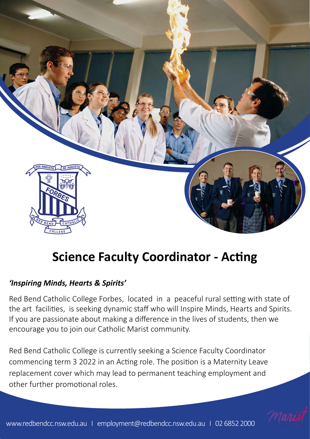

# **Science Faculty Coordinator - Acting**

### *'Inspiring Minds, Hearts & Spirits'*

Red Bend Catholic College Forbes, located in a peaceful rural setting with state of the art facilities, is seeking dynamic staff who will Inspire Minds, Hearts and Spirits. If you are passionate about making a difference in the lives of students, then we encourage you to join our Catholic Marist community.

Red Bend Catholic College is currently seeking a Science Faculty Coordinator commencing term 3 2022 in an Acting role. The position is a Maternity Leave replacement cover which may lead to permanent teaching employment and other further promotional roles.

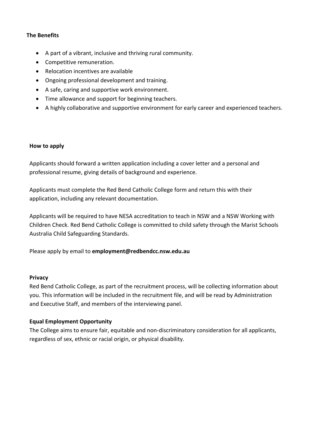#### **The Benefits**

- A part of a vibrant, inclusive and thriving rural community.
- Competitive remuneration.
- Relocation incentives are available
- Ongoing professional development and training.
- A safe, caring and supportive work environment.
- Time allowance and support for beginning teachers.
- A highly collaborative and supportive environment for early career and experienced teachers.

#### **How to apply**

Applicants should forward a written application including a cover letter and a personal and professional resume, giving details of background and experience.

Applicants must complete the Red Bend Catholic College form and return this with their application, including any relevant documentation.

Applicants will be required to have NESA accreditation to teach in NSW and a NSW Working with Children Check. Red Bend Catholic College is committed to child safety through the Marist Schools Australia Child Safeguarding Standards.

Please apply by email to **employmen[t@redbendcc.nsw.edu.au](mailto:principal@redbendcc.nsw.edu.au)**

#### **Privacy**

Red Bend Catholic College, as part of the recruitment process, will be collecting information about you. This information will be included in the recruitment file, and will be read by Administration and Executive Staff, and members of the interviewing panel.

#### **Equal Employment Opportunity**

The College aims to ensure fair, equitable and non-discriminatory consideration for all applicants, regardless of sex, ethnic or racial origin, or physical disability.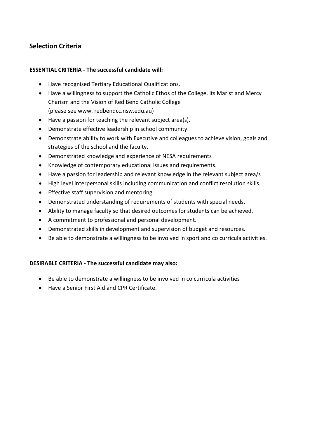#### **Selection Criteria**

#### **ESSENTIAL CRITERIA - The successful candidate will:**

- Have recognised Tertiary Educational Qualifications.
- Have a willingness to support the Catholic Ethos of the College, its Marist and Mercy Charism and the Vision of Red Bend Catholic College (please see www. redbendcc.nsw.edu.au)
- Have a passion for teaching the relevant subject area(s).
- Demonstrate effective leadership in school community.
- Demonstrate ability to work with Executive and colleagues to achieve vision, goals and strategies of the school and the faculty.
- Demonstrated knowledge and experience of NESA requirements
- Knowledge of contemporary educational issues and requirements.
- Have a passion for leadership and relevant knowledge in the relevant subject area/s
- High level interpersonal skills including communication and conflict resolution skills.
- Effective staff supervision and mentoring.
- Demonstrated understanding of requirements of students with special needs.
- Ability to manage faculty so that desired outcomes for students can be achieved.
- A commitment to professional and personal development.
- Demonstrated skills in development and supervision of budget and resources.
- Be able to demonstrate a willingness to be involved in sport and co curricula activities.

#### **DESIRABLE CRITERIA - The successful candidate may also:**

- Be able to demonstrate a willingness to be involved in co curricula activities
- Have a Senior First Aid and CPR Certificate.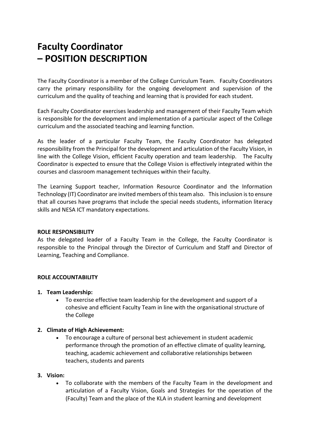### **Faculty Coordinator – POSITION DESCRIPTION**

The Faculty Coordinator is a member of the College Curriculum Team. Faculty Coordinators carry the primary responsibility for the ongoing development and supervision of the curriculum and the quality of teaching and learning that is provided for each student.

Each Faculty Coordinator exercises leadership and management of their Faculty Team which is responsible for the development and implementation of a particular aspect of the College curriculum and the associated teaching and learning function.

As the leader of a particular Faculty Team, the Faculty Coordinator has delegated responsibility from the Principal for the development and articulation of the Faculty Vision, in line with the College Vision, efficient Faculty operation and team leadership. The Faculty Coordinator is expected to ensure that the College Vision is effectively integrated within the courses and classroom management techniques within their faculty.

The Learning Support teacher, Information Resource Coordinator and the Information Technology (IT) Coordinator are invited members of this team also. This inclusion is to ensure that all courses have programs that include the special needs students, information literacy skills and NESA ICT mandatory expectations.

#### **ROLE RESPONSIBILITY**

As the delegated leader of a Faculty Team in the College, the Faculty Coordinator is responsible to the Principal through the Director of Curriculum and Staff and Director of Learning, Teaching and Compliance.

#### **ROLE ACCOUNTABILITY**

#### **1. Team Leadership:**

• To exercise effective team leadership for the development and support of a cohesive and efficient Faculty Team in line with the organisational structure of the College

#### **2. Climate of High Achievement:**

- To encourage a culture of personal best achievement in student academic performance through the promotion of an effective climate of quality learning, teaching, academic achievement and collaborative relationships between teachers, students and parents
- **3. Vision:**
	- To collaborate with the members of the Faculty Team in the development and articulation of a Faculty Vision, Goals and Strategies for the operation of the (Faculty) Team and the place of the KLA in student learning and development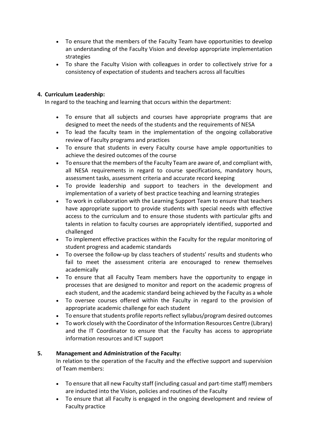- To ensure that the members of the Faculty Team have opportunities to develop an understanding of the Faculty Vision and develop appropriate implementation strategies
- To share the Faculty Vision with colleagues in order to collectively strive for a consistency of expectation of students and teachers across all faculties

#### **4. Curriculum Leadership:**

In regard to the teaching and learning that occurs within the department:

- To ensure that all subjects and courses have appropriate programs that are designed to meet the needs of the students and the requirements of NESA
- To lead the faculty team in the implementation of the ongoing collaborative review of Faculty programs and practices
- To ensure that students in every Faculty course have ample opportunities to achieve the desired outcomes of the course
- To ensure that the members of the Faculty Team are aware of, and compliant with, all NESA requirements in regard to course specifications, mandatory hours, assessment tasks, assessment criteria and accurate record keeping
- To provide leadership and support to teachers in the development and implementation of a variety of best practice teaching and learning strategies
- To work in collaboration with the Learning Support Team to ensure that teachers have appropriate support to provide students with special needs with effective access to the curriculum and to ensure those students with particular gifts and talents in relation to faculty courses are appropriately identified, supported and challenged
- To implement effective practices within the Faculty for the regular monitoring of student progress and academic standards
- To oversee the follow-up by class teachers of students' results and students who fail to meet the assessment criteria are encouraged to renew themselves academically
- To ensure that all Faculty Team members have the opportunity to engage in processes that are designed to monitor and report on the academic progress of each student, and the academic standard being achieved by the Faculty as a whole
- To oversee courses offered within the Faculty in regard to the provision of appropriate academic challenge for each student
- To ensure that students profile reports reflect syllabus/program desired outcomes
- To work closely with the Coordinator of the Information Resources Centre (Library) and the IT Coordinator to ensure that the Faculty has access to appropriate information resources and ICT support

#### **5. Management and Administration of the Faculty:**

In relation to the operation of the Faculty and the effective support and supervision of Team members:

- To ensure that all new Faculty staff (including casual and part-time staff) members are inducted into the Vision, policies and routines of the Faculty
- To ensure that all Faculty is engaged in the ongoing development and review of Faculty practice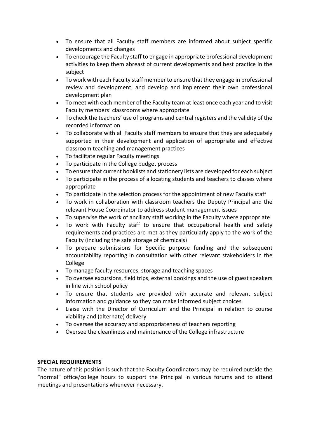- To ensure that all Faculty staff members are informed about subject specific developments and changes
- To encourage the Faculty staff to engage in appropriate professional development activities to keep them abreast of current developments and best practice in the subject
- To work with each Faculty staff member to ensure that they engage in professional review and development, and develop and implement their own professional development plan
- To meet with each member of the Faculty team at least once each year and to visit Faculty members' classrooms where appropriate
- To check the teachers' use of programs and central registers and the validity of the recorded information
- To collaborate with all Faculty staff members to ensure that they are adequately supported in their development and application of appropriate and effective classroom teaching and management practices
- To facilitate regular Faculty meetings
- To participate in the College budget process
- To ensure that current booklists and stationery lists are developed for each subject
- To participate in the process of allocating students and teachers to classes where appropriate
- To participate in the selection process for the appointment of new Faculty staff
- To work in collaboration with classroom teachers the Deputy Principal and the relevant House Coordinator to address student management issues
- To supervise the work of ancillary staff working in the Faculty where appropriate
- To work with Faculty staff to ensure that occupational health and safety requirements and practices are met as they particularly apply to the work of the Faculty (including the safe storage of chemicals)
- To prepare submissions for Specific purpose funding and the subsequent accountability reporting in consultation with other relevant stakeholders in the College
- To manage faculty resources, storage and teaching spaces
- To oversee excursions, field trips, external bookings and the use of guest speakers in line with school policy
- To ensure that students are provided with accurate and relevant subject information and guidance so they can make informed subject choices
- Liaise with the Director of Curriculum and the Principal in relation to course viability and (alternate) delivery
- To oversee the accuracy and appropriateness of teachers reporting
- Oversee the cleanliness and maintenance of the College infrastructure

#### **SPECIAL REQUIREMENTS**

The nature of this position is such that the Faculty Coordinators may be required outside the "normal" office/college hours to support the Principal in various forums and to attend meetings and presentations whenever necessary.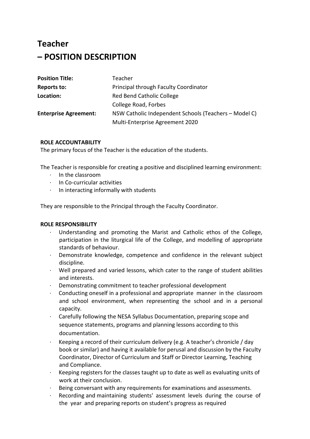## **Teacher – POSITION DESCRIPTION**

| <b>Position Title:</b>       | Teacher                                               |
|------------------------------|-------------------------------------------------------|
| <b>Reports to:</b>           | Principal through Faculty Coordinator                 |
| Location:                    | Red Bend Catholic College                             |
|                              | College Road, Forbes                                  |
| <b>Enterprise Agreement:</b> | NSW Catholic Independent Schools (Teachers - Model C) |
|                              | Multi-Enterprise Agreement 2020                       |

#### **ROLE ACCOUNTABILITY**

The primary focus of the Teacher is the education of the students.

The Teacher is responsible for creating a positive and disciplined learning environment:

- ∙ In the classroom
- ∙ In Co-curricular activities
- ∙ In interacting informally with students

They are responsible to the Principal through the Faculty Coordinator.

#### **ROLE RESPONSIBILITY**

- ∙ Understanding and promoting the Marist and Catholic ethos of the College, participation in the liturgical life of the College, and modelling of appropriate standards of behaviour.
- ∙ Demonstrate knowledge, competence and confidence in the relevant subject discipline.
- ∙ Well prepared and varied lessons, which cater to the range of student abilities and interests.
- ∙ Demonstrating commitment to teacher professional development
- ∙ Conducting oneself in a professional and appropriate manner in the classroom and school environment, when representing the school and in a personal capacity.
- ∙ Carefully following the NESA Syllabus Documentation, preparing scope and sequence statements, programs and planning lessons according to this documentation.
- ∙ Keeping a record of their curriculum delivery (e.g. A teacher's chronicle / day book or similar) and having it available for perusal and discussion by the Faculty Coordinator, Director of Curriculum and Staff or Director Learning, Teaching and Compliance.
- ∙ Keeping registers for the classes taught up to date as well as evaluating units of work at their conclusion.
- ∙ Being conversant with any requirements for examinations and assessments.
- ∙ Recording and maintaining students' assessment levels during the course of the year and preparing reports on student's progress as required